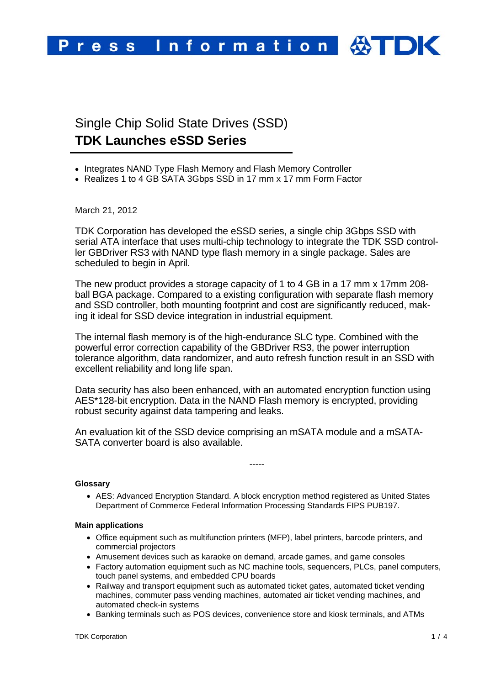

# Single Chip Solid State Drives (SSD) **TDK Launches eSSD Series**

- Integrates NAND Type Flash Memory and Flash Memory Controller
- Realizes 1 to 4 GB SATA 3Gbps SSD in 17 mm x 17 mm Form Factor

## March 21, 2012

TDK Corporation has developed the eSSD series, a single chip 3Gbps SSD with serial ATA interface that uses multi-chip technology to integrate the TDK SSD controller GBDriver RS3 with NAND type flash memory in a single package. Sales are scheduled to begin in April.

The new product provides a storage capacity of 1 to 4 GB in a 17 mm x 17mm 208 ball BGA package. Compared to a existing configuration with separate flash memory and SSD controller, both mounting footprint and cost are significantly reduced, making it ideal for SSD device integration in industrial equipment.

The internal flash memory is of the high-endurance SLC type. Combined with the powerful error correction capability of the GBDriver RS3, the power interruption tolerance algorithm, data randomizer, and auto refresh function result in an SSD with excellent reliability and long life span.

Data security has also been enhanced, with an automated encryption function using AES\*128-bit encryption. Data in the NAND Flash memory is encrypted, providing robust security against data tampering and leaks.

An evaluation kit of the SSD device comprising an mSATA module and a mSATA-SATA converter board is also available.

#### **Glossary**

• AES: Advanced Encryption Standard. A block encryption method registered as United States Department of Commerce Federal Information Processing Standards FIPS PUB197.

-----

#### **Main applications**

- Office equipment such as multifunction printers (MFP), label printers, barcode printers, and commercial projectors
- Amusement devices such as karaoke on demand, arcade games, and game consoles
- Factory automation equipment such as NC machine tools, sequencers, PLCs, panel computers, touch panel systems, and embedded CPU boards
- Railway and transport equipment such as automated ticket gates, automated ticket vending machines, commuter pass vending machines, automated air ticket vending machines, and automated check-in systems
- Banking terminals such as POS devices, convenience store and kiosk terminals, and ATMs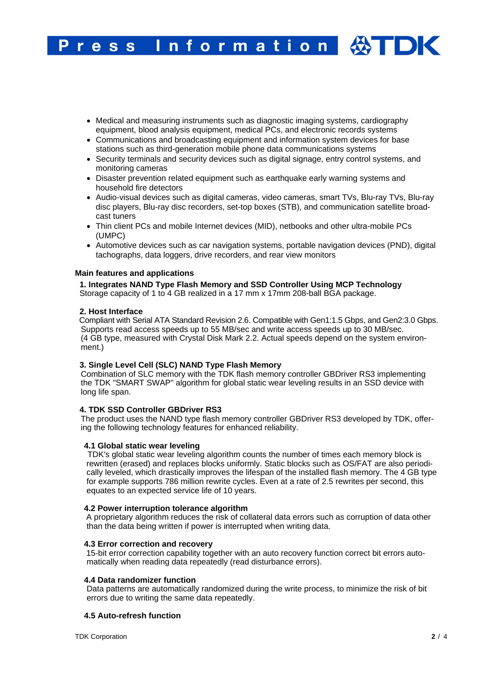- Medical and measuring instruments such as diagnostic imaging systems, cardiography equipment, blood analysis equipment, medical PCs, and electronic records systems
- Communications and broadcasting equipment and information system devices for base stations such as third-generation mobile phone data communications systems
- Security terminals and security devices such as digital signage, entry control systems, and monitoring cameras
- Disaster prevention related equipment such as earthquake early warning systems and household fire detectors
- Audio-visual devices such as digital cameras, video cameras, smart TVs, Blu-ray TVs, Blu-ray disc players, Blu-ray disc recorders, set-top boxes (STB), and communication satellite broadcast tuners
- Thin client PCs and mobile Internet devices (MID), netbooks and other ultra-mobile PCs (UMPC)
- Automotive devices such as car navigation systems, portable navigation devices (PND), digital tachographs, data loggers, drive recorders, and rear view monitors

#### **Main features and applications**

# **1. Integrates NAND Type Flash Memory and SSD Controller Using MCP Technology**

Storage capacity of 1 to 4 GB realized in a 17 mm x 17mm 208-ball BGA package.

#### **2. Host Interface**

 Compliant with Serial ATA Standard Revision 2.6. Compatible with Gen1:1.5 Gbps, and Gen2:3.0 Gbps. Supports read access speeds up to 55 MB/sec and write access speeds up to 30 MB/sec. (4 GB type, measured with Crystal Disk Mark 2.2. Actual speeds depend on the system environment.)

#### **3. Single Level Cell (SLC) NAND Type Flash Memory**

Combination of SLC memory with the TDK flash memory controller GBDriver RS3 implementing the TDK "SMART SWAP" algorithm for global static wear leveling results in an SSD device with long life span.

# **4. TDK SSD Controller GBDriver RS3**

The product uses the NAND type flash memory controller GBDriver RS3 developed by TDK, offering the following technology features for enhanced reliability.

#### **4.1 Global static wear leveling**

 TDK's global static wear leveling algorithm counts the number of times each memory block is rewritten (erased) and replaces blocks uniformly. Static blocks such as OS/FAT are also periodically leveled, which drastically improves the lifespan of the installed flash memory. The 4 GB type for example supports 786 million rewrite cycles. Even at a rate of 2.5 rewrites per second, this equates to an expected service life of 10 years.

#### **4.2 Power interruption tolerance algorithm**

 A proprietary algorithm reduces the risk of collateral data errors such as corruption of data other than the data being written if power is interrupted when writing data.

# **4.3 Error correction and recovery**

 15-bit error correction capability together with an auto recovery function correct bit errors automatically when reading data repeatedly (read disturbance errors).

#### **4.4 Data randomizer function**

Data patterns are automatically randomized during the write process, to minimize the risk of bit errors due to writing the same data repeatedly.

# **4.5 Auto-refresh function**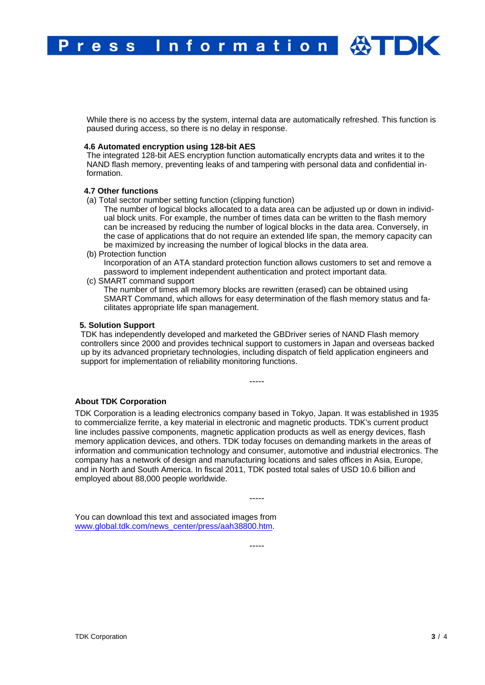Information 公TDK ress

While there is no access by the system, internal data are automatically refreshed. This function is paused during access, so there is no delay in response.

# **4.6 Automated encryption using 128-bit AES**

The integrated 128-bit AES encryption function automatically encrypts data and writes it to the NAND flash memory, preventing leaks of and tampering with personal data and confidential information.

## **4.7 Other functions**

- (a) Total sector number setting function (clipping function)
	- The number of logical blocks allocated to a data area can be adjusted up or down in individual block units. For example, the number of times data can be written to the flash memory can be increased by reducing the number of logical blocks in the data area. Conversely, in the case of applications that do not require an extended life span, the memory capacity can be maximized by increasing the number of logical blocks in the data area.
- (b) Protection function Incorporation of an ATA standard protection function allows customers to set and remove a password to implement independent authentication and protect important data.
- (c) SMART command support

The number of times all memory blocks are rewritten (erased) can be obtained using SMART Command, which allows for easy determination of the flash memory status and facilitates appropriate life span management.

#### **5. Solution Support**

TDK has independently developed and marketed the GBDriver series of NAND Flash memory controllers since 2000 and provides technical support to customers in Japan and overseas backed up by its advanced proprietary technologies, including dispatch of field application engineers and support for implementation of reliability monitoring functions.

-----

**About TDK Corporation** 

TDK Corporation is a leading electronics company based in Tokyo, Japan. It was established in 1935 to commercialize ferrite, a key material in electronic and magnetic products. TDK's current product line includes passive components, magnetic application products as well as energy devices, flash memory application devices, and others. TDK today focuses on demanding markets in the areas of information and communication technology and consumer, automotive and industrial electronics. The company has a network of design and manufacturing locations and sales offices in Asia, Europe, and in North and South America. In fiscal 2011, TDK posted total sales of USD 10.6 billion and employed about 88,000 people worldwide.

-----

-----

You can download this text and associated images from www.global.tdk.com/news\_center/press/aah38800.htm.

TDK Corporation **3** / 4